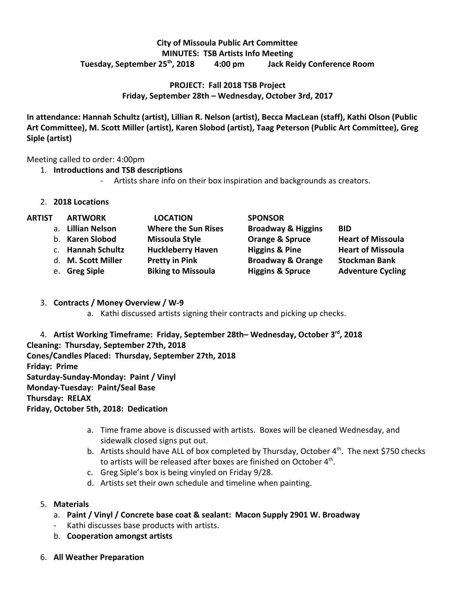## **City of Missoula Public Art Committee MINUTES: TSB Artists Info Meeting Tuesday, September 25th , 2018 4:00 pm Jack Reidy Conference Room**

## **PROJECT: Fall 2018 TSB Project Friday, September 28th – Wednesday, October 3rd, 2017**

**In attendance: Hannah Schultz (artist), Lillian R. Nelson (artist), Becca MacLean (staff), Kathi Olson (Public Art Committee), M. Scott Miller (artist), Karen Slobod (artist), Taag Peterson (Public Art Committee), Greg Siple (artist)**

Meeting called to order: 4:00pm

## 1. **Introductions and TSB descriptions**

- Artists share info on their box inspiration and backgrounds as creators.

## 2. **2018 Locations**

| <b>ARTIST</b> | <b>ARTWORK</b>     | <b>LOCATION</b>            | <b>SPONSOR</b>                |                          |
|---------------|--------------------|----------------------------|-------------------------------|--------------------------|
|               | a. Lillian Nelson  | <b>Where the Sun Rises</b> | <b>Broadway &amp; Higgins</b> | <b>BID</b>               |
|               | b. Karen Slobod    | <b>Missoula Style</b>      | <b>Orange &amp; Spruce</b>    | <b>Heart of Missoula</b> |
|               | c. Hannah Schultz  | <b>Huckleberry Haven</b>   | <b>Higgins &amp; Pine</b>     | <b>Heart of Missoula</b> |
|               | d. M. Scott Miller | <b>Pretty in Pink</b>      | <b>Broadway &amp; Orange</b>  | <b>Stockman Bank</b>     |
|               | e. Greg Siple      | <b>Biking to Missoula</b>  | <b>Higgins &amp; Spruce</b>   | <b>Adventure Cycling</b> |

- 3. **Contracts / Money Overview / W-9**
	- a. Kathi discussed artists signing their contracts and picking up checks.

4. **Artist Working Timeframe: Friday, September 28th– Wednesday, October 3rd , 2018 Cleaning: Thursday, September 27th, 2018 Cones/Candles Placed: Thursday, September 27th, 2018 Friday: Prime Saturday-Sunday-Monday: Paint / Vinyl Monday-Tuesday: Paint/Seal Base Thursday: RELAX Friday, October 5th, 2018: Dedication**

- a. Time frame above is discussed with artists. Boxes will be cleaned Wednesday, and sidewalk closed signs put out.
- b. Artists should have ALL of box completed by Thursday, October 4<sup>th</sup>. The next \$750 checks to artists will be released after boxes are finished on October 4<sup>th</sup>.
- c. Greg Siple's box is being vinyled on Friday 9/28.
- d. Artists set their own schedule and timeline when painting.
- 5. **Materials**
	- a. **Paint / Vinyl / Concrete base coat & sealant: Macon Supply 2901 W. Broadway**
	- Kathi discusses base products with artists.
	- b. **Cooperation amongst artists**
- 6. **All Weather Preparation**